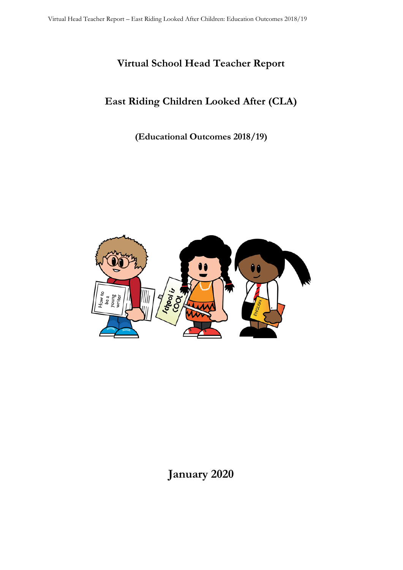# **Virtual School Head Teacher Report**

# **East Riding Children Looked After (CLA)**

**(Educational Outcomes 2018/19)**



# **January 2020**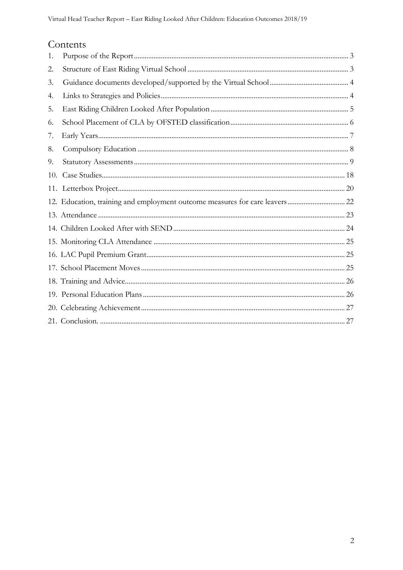# Contents

| 1.  |  |
|-----|--|
| 2.  |  |
| 3.  |  |
| 4.  |  |
| 5.  |  |
| 6.  |  |
| 7.  |  |
| 8.  |  |
| 9.  |  |
| 10. |  |
|     |  |
|     |  |
|     |  |
|     |  |
|     |  |
|     |  |
|     |  |
|     |  |
|     |  |
|     |  |
|     |  |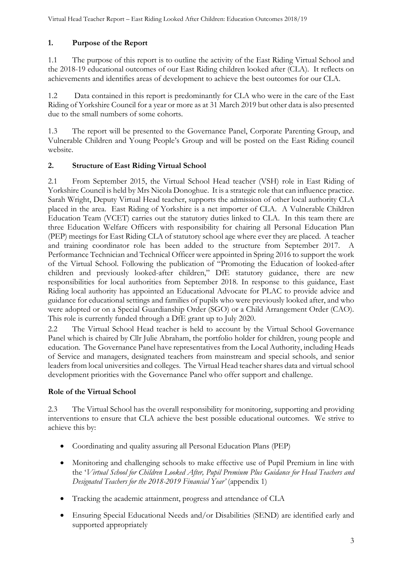# <span id="page-2-0"></span>**1. Purpose of the Report**

1.1 The purpose of this report is to outline the activity of the East Riding Virtual School and the 2018-19 educational outcomes of our East Riding children looked after (CLA). It reflects on achievements and identifies areas of development to achieve the best outcomes for our CLA.

1.2 Data contained in this report is predominantly for CLA who were in the care of the East Riding of Yorkshire Council for a year or more as at 31 March 2019 but other data is also presented due to the small numbers of some cohorts.

1.3 The report will be presented to the Governance Panel, Corporate Parenting Group, and Vulnerable Children and Young People's Group and will be posted on the East Riding council website.

## <span id="page-2-1"></span>**2. Structure of East Riding Virtual School**

2.1 From September 2015, the Virtual School Head teacher (VSH) role in East Riding of Yorkshire Council is held by Mrs Nicola Donoghue. It is a strategic role that can influence practice. Sarah Wright, Deputy Virtual Head teacher, supports the admission of other local authority CLA placed in the area. East Riding of Yorkshire is a net importer of CLA. A Vulnerable Children Education Team (VCET) carries out the statutory duties linked to CLA. In this team there are three Education Welfare Officers with responsibility for chairing all Personal Education Plan (PEP) meetings for East Riding CLA of statutory school age where ever they are placed. A teacher and training coordinator role has been added to the structure from September 2017. A Performance Technician and Technical Officer were appointed in Spring 2016 to support the work of the Virtual School. Following the publication of "Promoting the Education of looked-after children and previously looked-after children," DfE statutory guidance, there are new responsibilities for local authorities from September 2018. In response to this guidance, East Riding local authority has appointed an Educational Advocate for PLAC to provide advice and guidance for educational settings and families of pupils who were previously looked after, and who were adopted or on a Special Guardianship Order (SGO) or a Child Arrangement Order (CAO). This role is currently funded through a DfE grant up to July 2020.

2.2 The Virtual School Head teacher is held to account by the Virtual School Governance Panel which is chaired by Cllr Julie Abraham, the portfolio holder for children, young people and education. The Governance Panel have representatives from the Local Authority, including Heads of Service and managers, designated teachers from mainstream and special schools, and senior leaders from local universities and colleges. The Virtual Head teacher shares data and virtual school development priorities with the Governance Panel who offer support and challenge.

#### **Role of the Virtual School**

2.3 The Virtual School has the overall responsibility for monitoring, supporting and providing interventions to ensure that CLA achieve the best possible educational outcomes. We strive to achieve this by:

- Coordinating and quality assuring all Personal Education Plans (PEP)
- Monitoring and challenging schools to make effective use of Pupil Premium in line with the '*Virtual School for Children Looked After, Pupil Premium Plus Guidance for Head Teachers and Designated Teachers for the 2018-2019 Financial Year'* (appendix 1)
- Tracking the academic attainment, progress and attendance of CLA
- Ensuring Special Educational Needs and/or Disabilities (SEND) are identified early and supported appropriately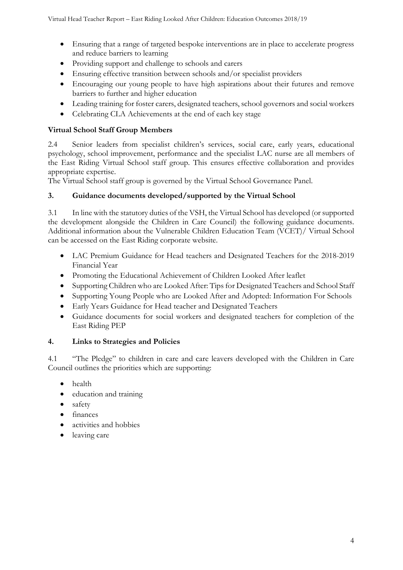- Ensuring that a range of targeted bespoke interventions are in place to accelerate progress and reduce barriers to learning
- Providing support and challenge to schools and carers
- Ensuring effective transition between schools and/or specialist providers
- Encouraging our young people to have high aspirations about their futures and remove barriers to further and higher education
- Leading training for foster carers, designated teachers, school governors and social workers
- Celebrating CLA Achievements at the end of each key stage

#### **Virtual School Staff Group Members**

2.4 Senior leaders from specialist children's services, social care, early years, educational psychology, school improvement, performance and the specialist LAC nurse are all members of the East Riding Virtual School staff group. This ensures effective collaboration and provides appropriate expertise.

The Virtual School staff group is governed by the Virtual School Governance Panel.

#### <span id="page-3-0"></span>**3. Guidance documents developed/supported by the Virtual School**

3.1 In line with the statutory duties of the VSH, the Virtual School has developed (or supported the development alongside the Children in Care Council) the following guidance documents. Additional information about the Vulnerable Children Education Team (VCET)/ Virtual School can be accessed on the East Riding corporate website.

- LAC Premium Guidance for Head teachers and Designated Teachers for the 2018-2019 Financial Year
- Promoting the Educational Achievement of Children Looked After leaflet
- Supporting Children who are Looked After: Tips for Designated Teachers and School Staff
- Supporting Young People who are Looked After and Adopted: Information For Schools
- Early Years Guidance for Head teacher and Designated Teachers
- Guidance documents for social workers and designated teachers for completion of the East Riding PEP

#### <span id="page-3-1"></span>**4. Links to Strategies and Policies**

4.1 "The Pledge" to children in care and care leavers developed with the Children in Care Council outlines the priorities which are supporting:

- health
- education and training
- safety
- finances
- activities and hobbies
- leaving care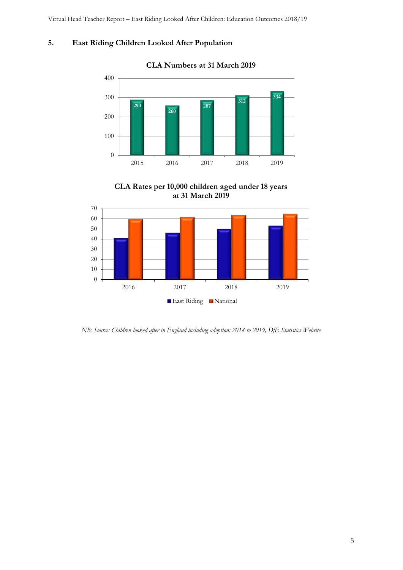# <span id="page-4-0"></span>**5. East Riding Children Looked After Population**



#### **CLA Numbers at 31 March 2019**

**CLA Rates per 10,000 children aged under 18 years at 31 March 2019**



*NB: Source: Children looked after in England including adoption: 2018 to 2019, DfE Statistics Website*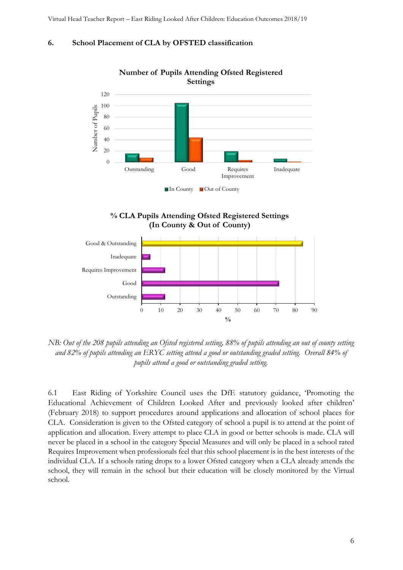#### <span id="page-5-0"></span>**6. School Placement of CLA by OFSTED classification**







*NB: Out of the 208 pupils attending an Ofsted registered setting, 88% of pupils attending an out of county setting and 82% of pupils attending an ERYC setting attend a good or outstanding graded setting. Overall 84% of pupils attend a good or outstanding graded setting.*

6.1 East Riding of Yorkshire Council uses the DfE statutory guidance, 'Promoting the Educational Achievement of Children Looked After and previously looked after children' (February 2018) to support procedures around applications and allocation of school places for CLA. Consideration is given to the Ofsted category of school a pupil is to attend at the point of application and allocation. Every attempt to place CLA in good or better schools is made. CLA will never be placed in a school in the category Special Measures and will only be placed in a school rated Requires Improvement when professionals feel that this school placement is in the best interests of the individual CLA. If a schools rating drops to a lower Ofsted category when a CLA already attends the school, they will remain in the school but their education will be closely monitored by the Virtual school.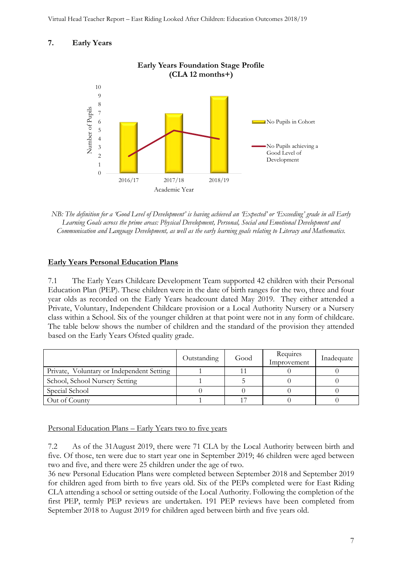#### <span id="page-6-0"></span>**7. Early Years**



*NB: The definition for a 'Good Level of Development' is having achieved an 'Expected' or 'Exceeding' grade in all Early Learning Goals across the prime areas: Physical Development, Personal, Social and Emotional Development and Communication and Language Development, as well as the early learning goals relating to Literacy and Mathematics.*

#### **Early Years Personal Education Plans**

7.1 The Early Years Childcare Development Team supported 42 children with their Personal Education Plan (PEP). These children were in the date of birth ranges for the two, three and four year olds as recorded on the Early Years headcount dated May 2019. They either attended a Private, Voluntary, Independent Childcare provision or a Local Authority Nursery or a Nursery class within a School. Six of the younger children at that point were not in any form of childcare. The table below shows the number of children and the standard of the provision they attended based on the Early Years Ofsted quality grade.

|                                           | Outstanding | Good | Requires<br>Improvement | Inadequate |
|-------------------------------------------|-------------|------|-------------------------|------------|
| Private, Voluntary or Independent Setting |             |      |                         |            |
| School, School Nursery Setting            |             |      |                         |            |
| Special School                            |             |      |                         |            |
| Out of County                             |             |      |                         |            |

Personal Education Plans – Early Years two to five years

7.2 As of the 31August 2019, there were 71 CLA by the Local Authority between birth and five. Of those, ten were due to start year one in September 2019; 46 children were aged between two and five, and there were 25 children under the age of two.

36 new Personal Education Plans were completed between September 2018 and September 2019 for children aged from birth to five years old. Six of the PEPs completed were for East Riding CLA attending a school or setting outside of the Local Authority. Following the completion of the first PEP, termly PEP reviews are undertaken. 191 PEP reviews have been completed from September 2018 to August 2019 for children aged between birth and five years old.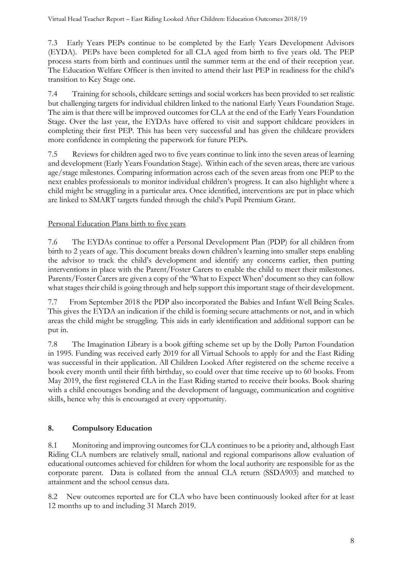7.3 Early Years PEPs continue to be completed by the Early Years Development Advisors (EYDA). PEPs have been completed for all CLA aged from birth to five years old. The PEP process starts from birth and continues until the summer term at the end of their reception year. The Education Welfare Officer is then invited to attend their last PEP in readiness for the child's transition to Key Stage one.

7.4 Training for schools, childcare settings and social workers has been provided to set realistic but challenging targets for individual children linked to the national Early Years Foundation Stage. The aim is that there will be improved outcomes for CLA at the end of the Early Years Foundation Stage. Over the last year, the EYDAs have offered to visit and support childcare providers in completing their first PEP. This has been very successful and has given the childcare providers more confidence in completing the paperwork for future PEPs.

7.5 Reviews for children aged two to five years continue to link into the seven areas of learning and development (Early Years Foundation Stage). Within each of the seven areas, there are various age/stage milestones. Comparing information across each of the seven areas from one PEP to the next enables professionals to monitor individual children's progress. It can also highlight where a child might be struggling in a particular area. Once identified, interventions are put in place which are linked to SMART targets funded through the child's Pupil Premium Grant.

# Personal Education Plans birth to five years

7.6 The EYDAs continue to offer a Personal Development Plan (PDP) for all children from birth to 2 years of age. This document breaks down children's learning into smaller steps enabling the advisor to track the child's development and identify any concerns earlier, then putting interventions in place with the Parent/Foster Carers to enable the child to meet their milestones. Parents/Foster Carers are given a copy of the 'What to Expect When' document so they can follow what stages their child is going through and help support this important stage of their development.

7.7 From September 2018 the PDP also incorporated the Babies and Infant Well Being Scales. This gives the EYDA an indication if the child is forming secure attachments or not, and in which areas the child might be struggling. This aids in early identification and additional support can be put in.

7.8 The Imagination Library is a book gifting scheme set up by the Dolly Parton Foundation in 1995. Funding was received early 2019 for all Virtual Schools to apply for and the East Riding was successful in their application. All Children Looked After registered on the scheme receive a book every month until their fifth birthday, so could over that time receive up to 60 books. From May 2019, the first registered CLA in the East Riding started to receive their books. Book sharing with a child encourages bonding and the development of language, communication and cognitive skills, hence why this is encouraged at every opportunity.

# <span id="page-7-0"></span>**8. Compulsory Education**

8.1 Monitoring and improving outcomes for CLA continues to be a priority and, although East Riding CLA numbers are relatively small, national and regional comparisons allow evaluation of educational outcomes achieved for children for whom the local authority are responsible for as the corporate parent. Data is collated from the annual CLA return (SSDA903) and matched to attainment and the school census data.

8.2 New outcomes reported are for CLA who have been continuously looked after for at least 12 months up to and including 31 March 2019.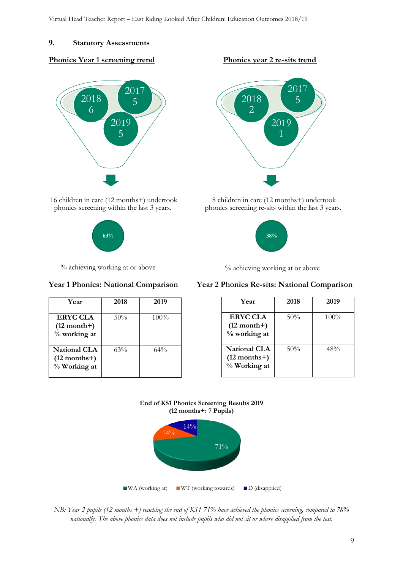#### <span id="page-8-0"></span>**9. Statutory Assessments**

#### **Phonics Year 1 screening trend Phonics year 2 re-sits trend**



16 children in care (12 months+) undertook phonics screening within the last 3 years.





% achieving working at or above

| Year                                                  | 2018 | 2019    |
|-------------------------------------------------------|------|---------|
| ERYC CLA<br>$(12 month+)$<br>% working at             | 50%  | $100\%$ |
| <b>National CLA</b><br>$(12$ months+)<br>% Working at | 63%  | 64%     |





8 children in care (12 months+) undertook phonics screening re-sits within the last 3 years.



% achieving working at or above

#### **Year 1 Phonics: National Comparison Year 2 Phonics Re-sits: National Comparison**

| Year                                                  | 2018   | 2019    |
|-------------------------------------------------------|--------|---------|
| <b>ERYC CLA</b><br>$(12 month+)$<br>% working at      | 50%    | $100\%$ |
| <b>National CLA</b><br>$(12$ months+)<br>% Working at | $50\%$ | 48%     |





*NB: Year 2 pupils (12 months +) reaching the end of KS1 71% have achieved the phonics screening, compared to 78% nationally. The above phonics data does not include pupils who did not sit or where disapplied from the test.*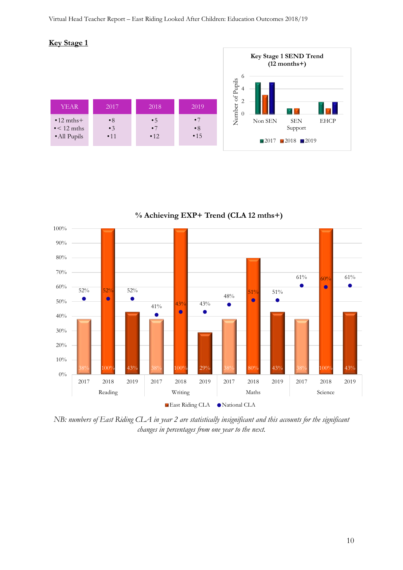



**% Achieving EXP+ Trend (CLA 12 mths+)** 

*NB: numbers of East Riding CLA in year 2 are statistically insignificant and this accounts for the significant changes in percentages from one year to the next.*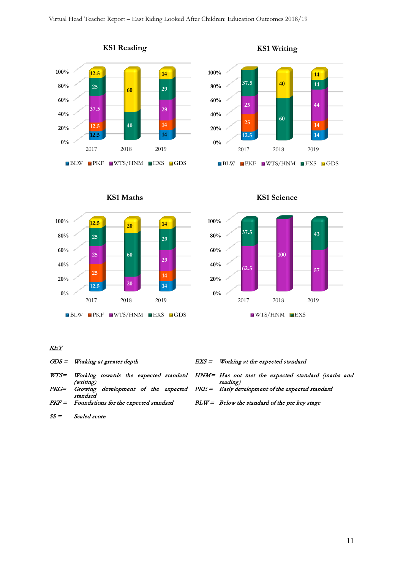



**KS1 Writing**









#### KEY

|      | $GDS =$ Working at greater depth                                                                      | $EXS =$ Working at the expected standard                                                            |
|------|-------------------------------------------------------------------------------------------------------|-----------------------------------------------------------------------------------------------------|
| WTS= | (writing)                                                                                             | Working towards the expected standard HNM= Has not met the expected standard (maths and<br>reading) |
|      | PKG= Growing development of the expected PKE = Early development of the expected standard<br>standard |                                                                                                     |
|      | $PKF =$ Foundations for the expected standard                                                         | $BLW = Below$ the standard of the pre key stage                                                     |

SS = Scaled score

11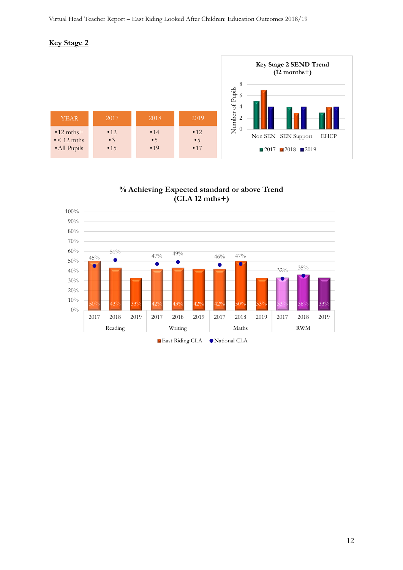#### **Key Stage 2**



**% Achieving Expected standard or above Trend (CLA 12 mths+)** 

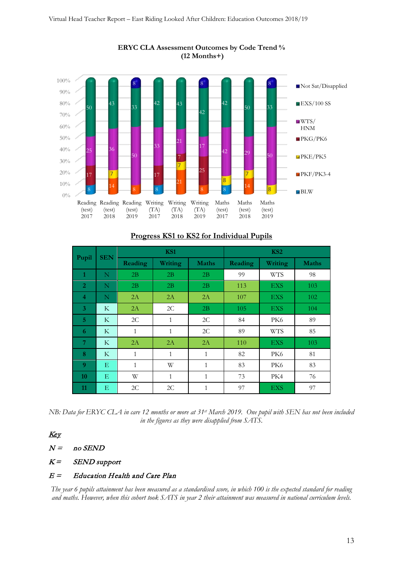

#### **ERYC CLA Assessment Outcomes by Code Trend % (12 Months+)**

# **Progress KS1 to KS2 for Individual Pupils**

|                  | <b>SEN</b> |              | KS1          |              |                | KS <sub>2</sub> |              |  |  |
|------------------|------------|--------------|--------------|--------------|----------------|-----------------|--------------|--|--|
| Pupil            |            | Reading      | Writing      | <b>Maths</b> | <b>Reading</b> | Writing         | <b>Maths</b> |  |  |
| 1                | N          | 2B           | 2B           | 2B           | 99             | <b>WTS</b>      | 98           |  |  |
| $\overline{2}$   | N          | 2B           | 2B           | 2B           | 113            | <b>EXS</b>      | 103          |  |  |
| $\overline{4}$   | N          | 2A           | 2A           | 2A           | 107            | <b>EXS</b>      | 102          |  |  |
| 3                | K          | 2A           | 2C           | 2B           | 105            | <b>EXS</b>      | 104          |  |  |
| 5                | K          | 2C           | $\mathbf{1}$ | 2C           | 84             | PK6             | 89           |  |  |
| 6                | K          | $\mathbf{1}$ | $\mathbf{1}$ | 2C           | 89             | <b>WTS</b>      | 85           |  |  |
| 7                | K          | 2A           | 2A           | 2A           | 110            | <b>EXS</b>      | 103          |  |  |
| 8                | K          | $\mathbf{1}$ | $\mathbf{1}$ | 1            | 82             | PK <sub>6</sub> | 81           |  |  |
| $\boldsymbol{Q}$ | E          | 1            | W            | 1            | 83             | PK <sub>6</sub> | 83           |  |  |
| 10               | E          | W            | $\mathbf{1}$ | 1            | 73             | PK4             | 76           |  |  |
| 11               | E          | 2C           | 2C           | 1            | 97             | <b>EXS</b>      | 97           |  |  |

*NB: Data for ERYC CLA in care 12 months or more at 31st March 2019. One pupil with SEN has not been included in the figures as they were disapplied from SATS.*

# Key

 $N =$  no SEND

 $K =$  SEND support

#### $E =$  Education Health and Care Plan

*The year 6 pupils attainment has been measured as a standardised score, in which 100 is the expected standard for reading and maths. However, when this cohort took SATS in year 2 their attainment was measured in national curriculum levels.*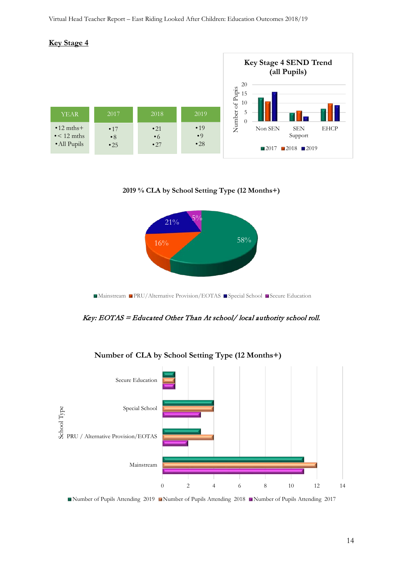





■Mainstream ■PRU/Alternative Provision/EOTAS ■ Special School ■ Secure Education

#### Key: EOTAS = Educated Other Than At school/ local authority school roll.



**Number of CLA by School Setting Type (12 Months+)**

Number of Pupils Attending 2019 Number of Pupils Attending 2018 Number of Pupils Attending 2017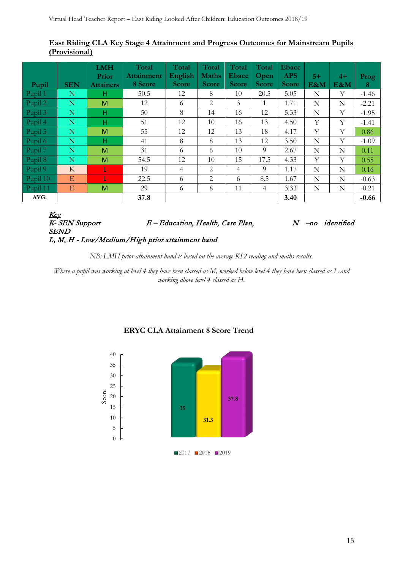#### **East Riding CLA Key Stage 4 Attainment and Progress Outcomes for Mainstream Pupils (Provisional)**

| Pupil    | <b>SEN</b>  | <b>LMH</b><br>Prior<br><b>Attainers</b> | Total<br><b>Attainment</b><br>8 Score | Total<br>English<br><b>Score</b> | Total<br><b>Maths</b><br><b>Score</b> | Total<br>Ebacc<br><b>Score</b> | Total<br>Open<br><b>Score</b> | <b>Ebacc</b><br><b>APS</b><br><b>Score</b> | $5+$<br>E&M | $4+$<br>E&M | Prog<br>8 |
|----------|-------------|-----------------------------------------|---------------------------------------|----------------------------------|---------------------------------------|--------------------------------|-------------------------------|--------------------------------------------|-------------|-------------|-----------|
| Pupil 1  | $\mathbf N$ | н                                       | 50.5                                  | 12                               | 8                                     | 10                             | 20.5                          | 5.05                                       | N           | Y           | $-1.46$   |
| Pupil 2  | $\mathbb N$ | M                                       | 12                                    | 6                                | 2                                     | 3                              | 1                             | 1.71                                       | N           | N           | $-2.21$   |
| Pupil 3  | $\mathbb N$ | н                                       | 50                                    | 8                                | 14                                    | 16                             | 12                            | 5.33                                       | $\mathbf N$ | Y           | $-1.95$   |
| Pupil 4  | N           | н                                       | 51                                    | 12                               | 10                                    | 16                             | 13                            | 4.50                                       | Y           | Y           | $-1.41$   |
| Pupil 5  | N           | M                                       | 55                                    | 12                               | 12                                    | 13                             | 18                            | 4.17                                       | Y           | Y           | 0.86      |
| Pupil 6  | N           | н                                       | 41                                    | 8                                | 8                                     | 13                             | 12                            | 3.50                                       | N           | Y           | $-1.09$   |
| Pupil 7  | N           | M                                       | 31                                    | 6                                | 6                                     | 10                             | 9                             | 2.67                                       | N           | N           | 0.11      |
| Pupil 8  | $\mathbf N$ | M                                       | 54.5                                  | 12                               | 10                                    | 15                             | 17.5                          | 4.33                                       | Y           | Y           | 0.55      |
| Pupil 9  | K           | U                                       | 19                                    | 4                                | $\overline{2}$                        | $\overline{4}$                 | 9                             | 1.17                                       | N           | N           | 0.16      |
| Pupil 10 | E           |                                         | 22.5                                  | 6                                | 2                                     | 6                              | 8.5                           | 1.67                                       | $\mathbf N$ | N           | $-0.63$   |
| Pupil 11 | E           | M                                       | 29                                    | 6                                | 8                                     | 11                             | $\overline{4}$                | 3.33                                       | N           | N           | $-0.21$   |
| AVG:     |             |                                         | 37.8                                  |                                  |                                       |                                |                               | 3.40                                       |             |             | $-0.66$   |

Key<br>K- SEN Support  $E - Education$ , Health, Care Plan,  $N$  –no identified **SEND** L, M, H - Low/Medium/High prior attainment band

*NB: LMH prior attainment band is based on the average KS2 reading and maths results.* 

*Where a pupil was working at level 4 they have been classed as M, worked below level 4 they have been classed as L and working above level 4 classed as H.*



#### **ERYC CLA Attainment 8 Score Trend**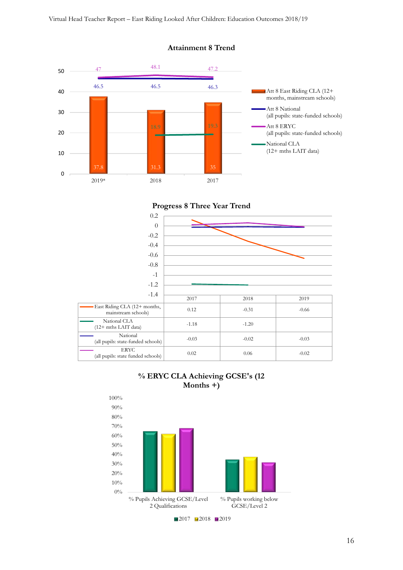

#### **Attainment 8 Trend**





#### **% ERYC CLA Achieving GCSE's (12 Months +)**

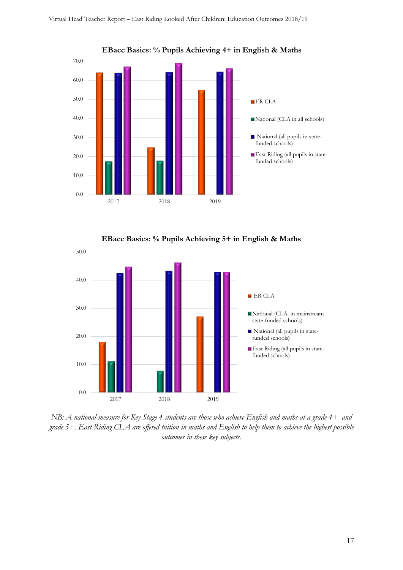

**EBacc Basics: % Pupils Achieving 4+ in English & Maths**





*NB: A national measure for Key Stage 4 students are those who achieve English and maths at a grade 4+ and grade 5+. East Riding CLA are offered tuition in maths and English to help them to achieve the highest possible outcomes in these key subjects.*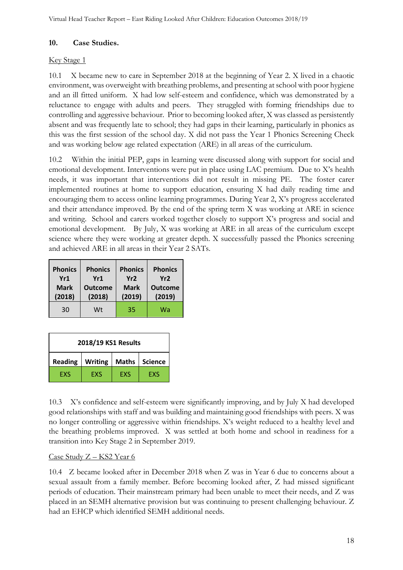#### <span id="page-17-0"></span>**10. Case Studies.**

#### Key Stage 1

10.1 X became new to care in September 2018 at the beginning of Year 2. X lived in a chaotic environment, was overweight with breathing problems, and presenting at school with poor hygiene and an ill fitted uniform. X had low self-esteem and confidence, which was demonstrated by a reluctance to engage with adults and peers. They struggled with forming friendships due to controlling and aggressive behaviour. Prior to becoming looked after, X was classed as persistently absent and was frequently late to school; they had gaps in their learning, particularly in phonics as this was the first session of the school day. X did not pass the Year 1 Phonics Screening Check and was working below age related expectation (ARE) in all areas of the curriculum.

10.2 Within the initial PEP, gaps in learning were discussed along with support for social and emotional development. Interventions were put in place using LAC premium. Due to X's health needs, it was important that interventions did not result in missing PE. The foster carer implemented routines at home to support education, ensuring X had daily reading time and encouraging them to access online learning programmes. During Year 2, X's progress accelerated and their attendance improved. By the end of the spring term X was working at ARE in science and writing. School and carers worked together closely to support X's progress and social and emotional development. By July, X was working at ARE in all areas of the curriculum except science where they were working at greater depth. X successfully passed the Phonics screening and achieved ARE in all areas in their Year 2 SATs.

| <b>Phonics</b> | <b>Phonics</b> | <b>Phonics</b> | <b>Phonics</b> |
|----------------|----------------|----------------|----------------|
| Yr1            | Yr1            | Yr2            | Yr2            |
| <b>Mark</b>    | <b>Outcome</b> | Mark           | <b>Outcome</b> |
| (2018)         | (2018)         | (2019)         | (2019)         |
| 30             | Wt             | 35             | Wa             |

| 2018/19 KS1 Results                                                |  |  |  |  |  |  |
|--------------------------------------------------------------------|--|--|--|--|--|--|
| <b>Writing</b><br><b>Maths</b><br><b>Science</b><br><b>Reading</b> |  |  |  |  |  |  |
| EXS<br><b>EXS</b><br>EXS<br>EXS                                    |  |  |  |  |  |  |

10.3 X's confidence and self-esteem were significantly improving, and by July X had developed good relationships with staff and was building and maintaining good friendships with peers. X was no longer controlling or aggressive within friendships. X's weight reduced to a healthy level and the breathing problems improved. X was settled at both home and school in readiness for a transition into Key Stage 2 in September 2019.

#### Case Study Z – KS2 Year 6

10.4 Z became looked after in December 2018 when Z was in Year 6 due to concerns about a sexual assault from a family member. Before becoming looked after, Z had missed significant periods of education. Their mainstream primary had been unable to meet their needs, and Z was placed in an SEMH alternative provision but was continuing to present challenging behaviour. Z had an EHCP which identified SEMH additional needs.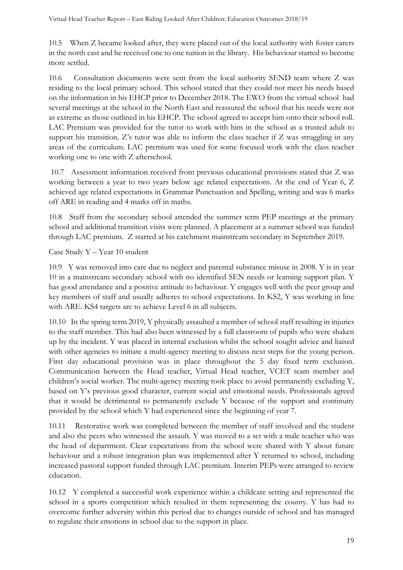10.5 When Z became looked after, they were placed out of the local authority with foster carers in the north east and he received one to one tuition in the library. His behaviour started to become more settled.

10.6 Consultation documents were sent from the local authority SEND team where Z was residing to the local primary school. This school stated that they could not meet his needs based on the information in his EHCP prior to December 2018. The EWO from the virtual school had several meetings at the school in the North East and reassured the school that his needs were not as extreme as those outlined in his EHCP. The school agreed to accept him onto their school roll. LAC Premium was provided for the tutor to work with him in the school as a trusted adult to support his transition. Z's tutor was able to inform the class teacher if Z was struggling in any areas of the curriculum. LAC premium was used for some focused work with the class teacher working one to one with Z afterschool.

10.7 Assessment information received from previous educational provisions stated that Z was working between a year to two years below age related expectations. At the end of Year 6, Z achieved age related expectations in Grammar Punctuation and Spelling, writing and was 6 marks off ARE in reading and 4 marks off in maths.

10.8 Staff from the secondary school attended the summer term PEP meetings at the primary school and additional transition visits were planned. A placement at a summer school was funded through LAC premium. Z started at his catchment mainstream secondary in September 2019.

#### Case Study Y – Year 10 student

10.9 Y was removed into care due to neglect and parental substance misuse in 2008. Y is in year 10 in a mainstream secondary school with no identified SEN needs or learning support plan. Y has good attendance and a positive attitude to behaviour. Y engages well with the peer group and key members of staff and usually adheres to school expectations. In KS2, Y was working in line with ARE. KS4 targets are to achieve Level 6 in all subjects.

10.10 In the spring term 2019, Y physically assaulted a member of school staff resulting in injuries to the staff member. This had also been witnessed by a full classroom of pupils who were shaken up by the incident. Y was placed in internal exclusion whilst the school sought advice and liaised with other agencies to initiate a multi-agency meeting to discuss next steps for the young person. First day educational provision was in place throughout the 5 day fixed term exclusion. Communication between the Head teacher, Virtual Head teacher, VCET team member and children's social worker. The multi-agency meeting took place to avoid permanently excluding Y, based on Y's previous good character, current social and emotional needs. Professionals agreed that it would be detrimental to permanently exclude Y because of the support and continuity provided by the school which Y had experienced since the beginning of year 7.

10.11 Restorative work was completed between the member of staff involved and the student and also the peers who witnessed the assault. Y was moved to a set with a male teacher who was the head of department. Clear expectations from the school were shared with Y about future behaviour and a robust integration plan was implemented after Y returned to school, including increased pastoral support funded through LAC premium. Interim PEPs were arranged to review education.

10.12 Y completed a successful work experience within a childcare setting and represented the school in a sports competition which resulted in them representing the county. Y has had to overcome further adversity within this period due to changes outside of school and has managed to regulate their emotions in school due to the support in place.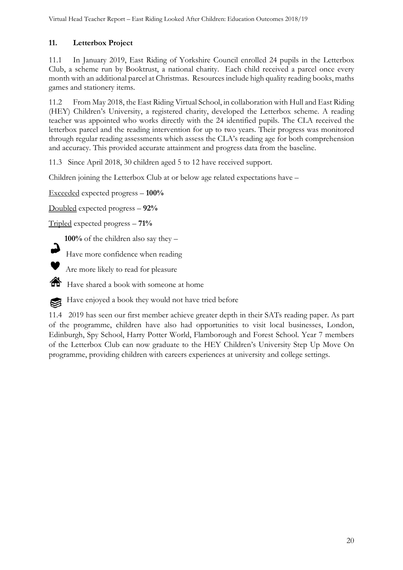# <span id="page-19-0"></span>**11. Letterbox Project**

11.1 In January 2019, East Riding of Yorkshire Council enrolled 24 pupils in the Letterbox Club, a scheme run by Booktrust, a national charity. Each child received a parcel once every month with an additional parcel at Christmas. Resources include high quality reading books, maths games and stationery items.

11.2 From May 2018, the East Riding Virtual School, in collaboration with Hull and East Riding (HEY) Children's University, a registered charity, developed the Letterbox scheme. A reading teacher was appointed who works directly with the 24 identified pupils. The CLA received the letterbox parcel and the reading intervention for up to two years. Their progress was monitored through regular reading assessments which assess the CLA's reading age for both comprehension and accuracy. This provided accurate attainment and progress data from the baseline.

11.3 Since April 2018, 30 children aged 5 to 12 have received support.

Children joining the Letterbox Club at or below age related expectations have –

Exceeded expected progress – **100%**

Doubled expected progress – **92%**

Tripled expected progress – **71%**

**100%** of the children also say they –

Have more confidence when reading



Are more likely to read for pleasure

Have shared a book with someone at home



11.4 2019 has seen our first member achieve greater depth in their SATs reading paper. As part of the programme, children have also had opportunities to visit local businesses, London, Edinburgh, Spy School, Harry Potter World, Flamborough and Forest School. Year 7 members of the Letterbox Club can now graduate to the HEY Children's University Step Up Move On programme, providing children with careers experiences at university and college settings.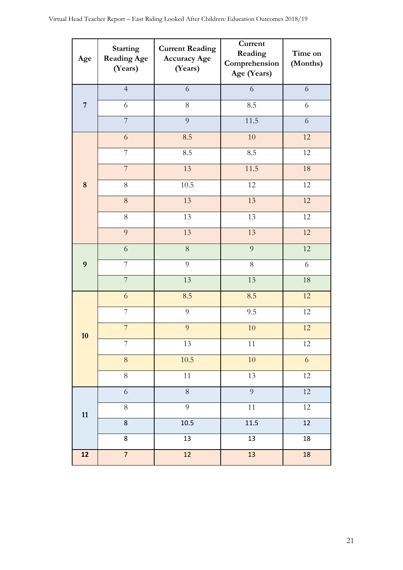| Age            | <b>Starting</b><br><b>Reading Age</b><br>(Years) | <b>Current Reading</b><br><b>Accuracy Age</b><br>(Years) | Current<br>Reading<br>Comprehension<br>Age (Years) | Time on<br>(Months) |
|----------------|--------------------------------------------------|----------------------------------------------------------|----------------------------------------------------|---------------------|
|                | $\overline{4}$                                   | 6                                                        | $\sqrt{6}$                                         | 6                   |
| $\overline{7}$ | 6                                                | 8                                                        | 8.5                                                | 6                   |
|                | $\overline{7}$                                   | 9                                                        | 11.5                                               | $\sqrt{6}$          |
|                | 6                                                | 8.5                                                      | 10                                                 | 12                  |
|                | $\overline{7}$                                   | 8.5                                                      | 8.5                                                | 12                  |
|                | $\overline{7}$                                   | 13                                                       | 11.5                                               | 18                  |
| 8              | $8\,$                                            | 10.5                                                     | 12                                                 | 12                  |
|                | $8\,$                                            | 13                                                       | 13                                                 | 12                  |
|                | $8\,$                                            | 13                                                       | 13                                                 | 12                  |
|                | 9                                                | 13                                                       | 13                                                 | 12                  |
|                | 6                                                | $\,8\,$                                                  | $\overline{9}$                                     | 12                  |
| 9              | $\overline{7}$                                   | 9                                                        | $8\,$                                              | 6                   |
|                | $\overline{7}$                                   | 13                                                       | 13                                                 | 18                  |
|                | 6                                                | 8.5                                                      | 8.5                                                | 12                  |
|                | $\overline{7}$                                   | 9                                                        | 9.5                                                | 12                  |
| 10             | $\overline{7}$                                   | 9                                                        | 10                                                 | 12                  |
|                | 7                                                | 13                                                       | 11                                                 | 12                  |
|                | $\,8\,$                                          | 10.5                                                     | 10                                                 | $\sqrt{6}$          |
|                | $8\,$                                            | 11                                                       | 13                                                 | 12                  |
|                | $\sqrt{6}$                                       | $8\,$                                                    | $\overline{9}$                                     | 12                  |
| 11             | $\overline{8}$                                   | $\overline{9}$                                           | $\overline{11}$                                    | $\overline{12}$     |
|                | $\overline{8}$                                   | 10.5                                                     | $\frac{11.5}{2}$                                   | $\overline{12}$     |
|                | 8                                                | 13                                                       | 13                                                 | 18                  |
| 12             | $\overline{7}$                                   | 12                                                       | 13                                                 | 18                  |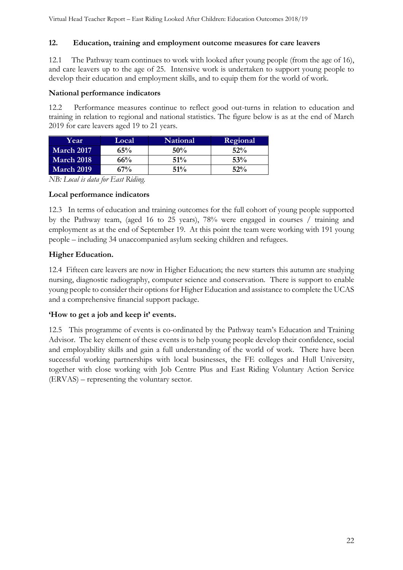#### <span id="page-21-0"></span>**12. Education, training and employment outcome measures for care leavers**

12.1 The Pathway team continues to work with looked after young people (from the age of 16), and care leavers up to the age of 25. Intensive work is undertaken to support young people to develop their education and employment skills, and to equip them for the world of work.

#### **National performance indicators**

12.2 Performance measures continue to reflect good out-turns in relation to education and training in relation to regional and national statistics. The figure below is as at the end of March 2019 for care leavers aged 19 to 21 years.

| Year              | Local | <b>National</b> | Regional |
|-------------------|-------|-----------------|----------|
| <b>March 2017</b> | 65%   | 50%             | 52%      |
| March 2018        | 66%   | $51\%$          | 53%      |
| <b>March 2019</b> | 67%   | 51%             | 52%      |

*NB: Local is data for East Riding.*

#### **Local performance indicators**

12.3 In terms of education and training outcomes for the full cohort of young people supported by the Pathway team, (aged 16 to 25 years), 78% were engaged in courses / training and employment as at the end of September 19. At this point the team were working with 191 young people – including 34 unaccompanied asylum seeking children and refugees.

#### **Higher Education.**

12.4 Fifteen care leavers are now in Higher Education; the new starters this autumn are studying nursing, diagnostic radiography, computer science and conservation. There is support to enable young people to consider their options for Higher Education and assistance to complete the UCAS and a comprehensive financial support package.

#### **'How to get a job and keep it' events.**

12.5 This programme of events is co-ordinated by the Pathway team's Education and Training Advisor. The key element of these events is to help young people develop their confidence, social and employability skills and gain a full understanding of the world of work. There have been successful working partnerships with local businesses, the FE colleges and Hull University, together with close working with Job Centre Plus and East Riding Voluntary Action Service (ERVAS) – representing the voluntary sector.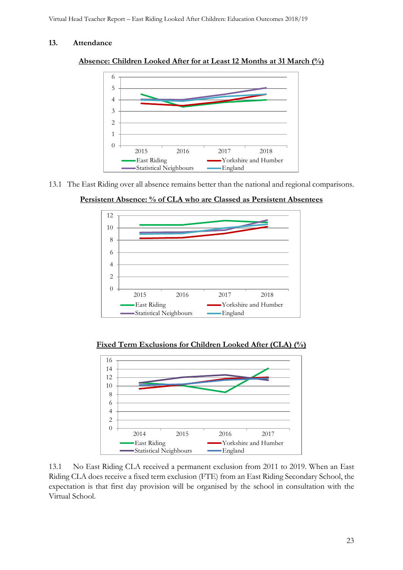#### <span id="page-22-0"></span>**13. Attendance**





13.1 The East Riding over all absence remains better than the national and regional comparisons.





**Fixed Term Exclusions for Children Looked After (CLA) (%)**



13.1 No East Riding CLA received a permanent exclusion from 2011 to 2019. When an East Riding CLA does receive a fixed term exclusion (FTE) from an East Riding Secondary School, the expectation is that first day provision will be organised by the school in consultation with the Virtual School.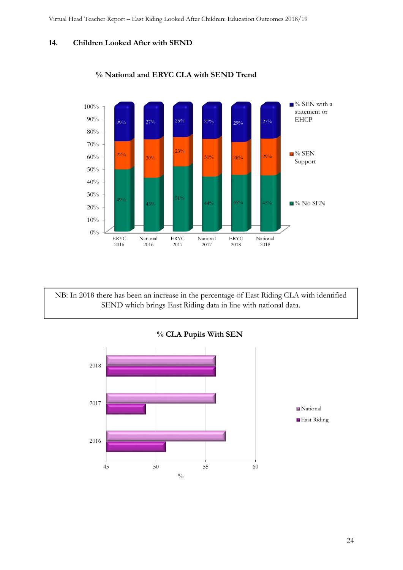#### <span id="page-23-0"></span>**14. Children Looked After with SEND**



#### **% National and ERYC CLA with SEND Trend**

NB: In 2018 there has been an increase in the percentage of East Riding CLA with identified SEND which brings East Riding data in line with national data.

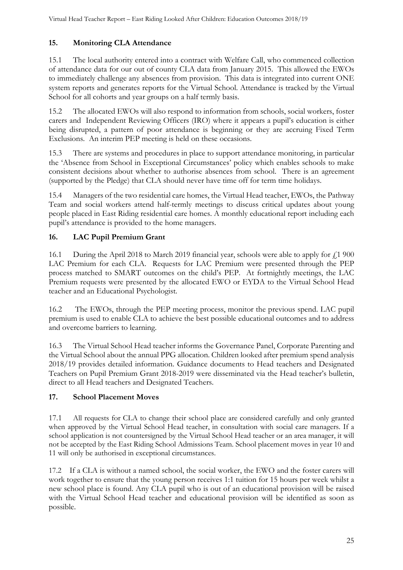# <span id="page-24-0"></span>**15. Monitoring CLA Attendance**

15.1 The local authority entered into a contract with Welfare Call, who commenced collection of attendance data for our out of county CLA data from January 2015. This allowed the EWOs to immediately challenge any absences from provision. This data is integrated into current ONE system reports and generates reports for the Virtual School. Attendance is tracked by the Virtual School for all cohorts and year groups on a half termly basis.

15.2 The allocated EWOs will also respond to information from schools, social workers, foster carers and Independent Reviewing Officers (IRO) where it appears a pupil's education is either being disrupted, a pattern of poor attendance is beginning or they are accruing Fixed Term Exclusions. An interim PEP meeting is held on these occasions.

15.3 There are systems and procedures in place to support attendance monitoring, in particular the 'Absence from School in Exceptional Circumstances' policy which enables schools to make consistent decisions about whether to authorise absences from school. There is an agreement (supported by the Pledge) that CLA should never have time off for term time holidays.

15.4 Managers of the two residential care homes, the Virtual Head teacher, EWOs, the Pathway Team and social workers attend half-termly meetings to discuss critical updates about young people placed in East Riding residential care homes. A monthly educational report including each pupil's attendance is provided to the home managers.

# <span id="page-24-1"></span>**16. LAC Pupil Premium Grant**

16.1 During the April 2018 to March 2019 financial year, schools were able to apply for  $\ell$  1 900 LAC Premium for each CLA. Requests for LAC Premium were presented through the PEP process matched to SMART outcomes on the child's PEP. At fortnightly meetings, the LAC Premium requests were presented by the allocated EWO or EYDA to the Virtual School Head teacher and an Educational Psychologist.

16.2 The EWOs, through the PEP meeting process, monitor the previous spend. LAC pupil premium is used to enable CLA to achieve the best possible educational outcomes and to address and overcome barriers to learning.

16.3 The Virtual School Head teacher informs the Governance Panel, Corporate Parenting and the Virtual School about the annual PPG allocation. Children looked after premium spend analysis 2018/19 provides detailed information. Guidance documents to Head teachers and Designated Teachers on Pupil Premium Grant 2018-2019 were disseminated via the Head teacher's bulletin, direct to all Head teachers and Designated Teachers.

# <span id="page-24-2"></span>**17. School Placement Moves**

17.1 All requests for CLA to change their school place are considered carefully and only granted when approved by the Virtual School Head teacher, in consultation with social care managers. If a school application is not countersigned by the Virtual School Head teacher or an area manager, it will not be accepted by the East Riding School Admissions Team. School placement moves in year 10 and 11 will only be authorised in exceptional circumstances.

17.2 If a CLA is without a named school, the social worker, the EWO and the foster carers will work together to ensure that the young person receives 1:1 tuition for 15 hours per week whilst a new school place is found. Any CLA pupil who is out of an educational provision will be raised with the Virtual School Head teacher and educational provision will be identified as soon as possible.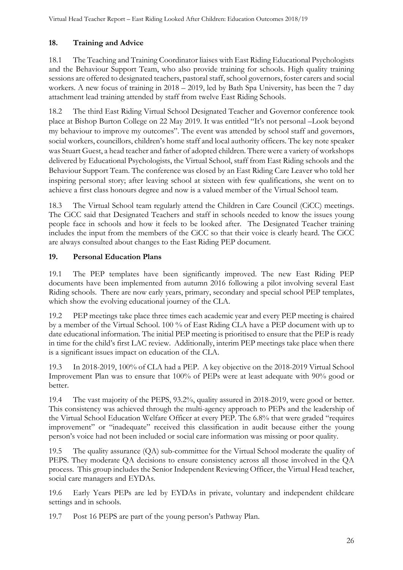# <span id="page-25-0"></span>**18. Training and Advice**

18.1 The Teaching and Training Coordinator liaises with East Riding Educational Psychologists and the Behaviour Support Team, who also provide training for schools. High quality training sessions are offered to designated teachers, pastoral staff, school governors, foster carers and social workers. A new focus of training in 2018 – 2019, led by Bath Spa University, has been the 7 day attachment lead training attended by staff from twelve East Riding Schools.

18.2 The third East Riding Virtual School Designated Teacher and Governor conference took place at Bishop Burton College on 22 May 2019. It was entitled "It's not personal –Look beyond my behaviour to improve my outcomes". The event was attended by school staff and governors, social workers, councillors, children's home staff and local authority officers. The key note speaker was Stuart Guest, a head teacher and father of adopted children. There were a variety of workshops delivered by Educational Psychologists, the Virtual School, staff from East Riding schools and the Behaviour Support Team. The conference was closed by an East Riding Care Leaver who told her inspiring personal story; after leaving school at sixteen with few qualifications, she went on to achieve a first class honours degree and now is a valued member of the Virtual School team.

18.3 The Virtual School team regularly attend the Children in Care Council (CiCC) meetings. The CiCC said that Designated Teachers and staff in schools needed to know the issues young people face in schools and how it feels to be looked after. The Designated Teacher training includes the input from the members of the CiCC so that their voice is clearly heard. The CiCC are always consulted about changes to the East Riding PEP document.

# <span id="page-25-1"></span>**19. Personal Education Plans**

19.1 The PEP templates have been significantly improved. The new East Riding PEP documents have been implemented from autumn 2016 following a pilot involving several East Riding schools. There are now early years, primary, secondary and special school PEP templates, which show the evolving educational journey of the CLA.

19.2 PEP meetings take place three times each academic year and every PEP meeting is chaired by a member of the Virtual School. 100 % of East Riding CLA have a PEP document with up to date educational information. The initial PEP meeting is prioritised to ensure that the PEP is ready in time for the child's first LAC review. Additionally, interim PEP meetings take place when there is a significant issues impact on education of the CLA.

19.3 In 2018-2019, 100% of CLA had a PEP. A key objective on the 2018-2019 Virtual School Improvement Plan was to ensure that 100% of PEPs were at least adequate with 90% good or better.

19.4 The vast majority of the PEPS, 93.2%, quality assured in 2018-2019, were good or better. This consistency was achieved through the multi-agency approach to PEPs and the leadership of the Virtual School Education Welfare Officer at every PEP. The 6.8% that were graded "requires improvement" or "inadequate" received this classification in audit because either the young person's voice had not been included or social care information was missing or poor quality.

19.5 The quality assurance (QA) sub-committee for the Virtual School moderate the quality of PEPS. They moderate QA decisions to ensure consistency across all those involved in the QA process. This group includes the Senior Independent Reviewing Officer, the Virtual Head teacher, social care managers and EYDAs.

19.6 Early Years PEPs are led by EYDAs in private, voluntary and independent childcare settings and in schools.

19.7 Post 16 PEPS are part of the young person's Pathway Plan.